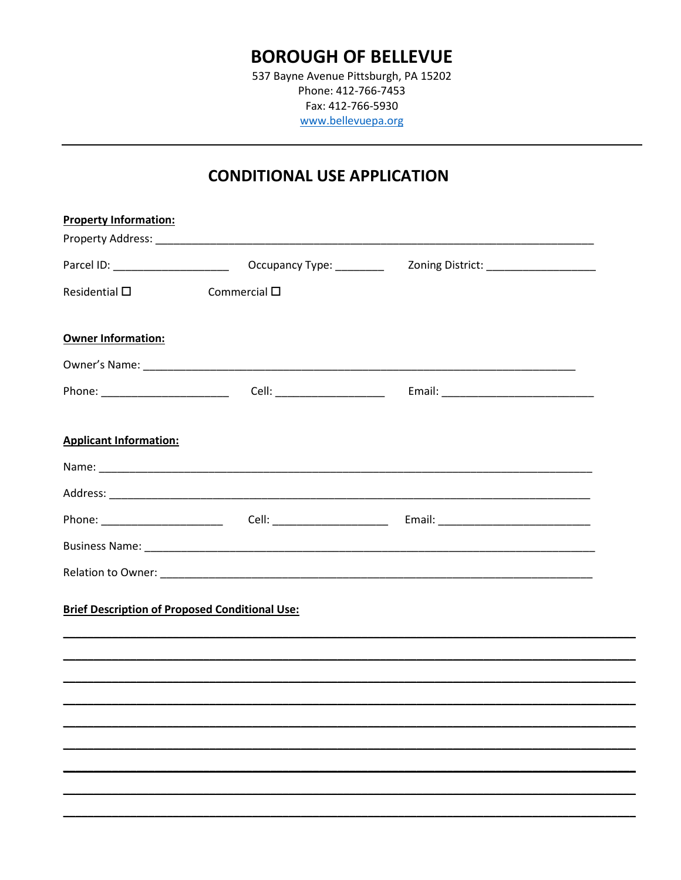# **BOROUGH OF BELLEVUE**

537 Bayne Avenue Pittsburgh, PA 15202 Phone: 412-766-7453 Fax: 412-766-5930 www.bellevuepa.org

# **CONDITIONAL USE APPLICATION**

| <b>Property Information:</b>    |                                                       |  |
|---------------------------------|-------------------------------------------------------|--|
|                                 |                                                       |  |
|                                 |                                                       |  |
| Residential $\square$           | Commercial $\square$                                  |  |
| <b>Owner Information:</b>       |                                                       |  |
|                                 |                                                       |  |
| Phone: ________________________ |                                                       |  |
| <b>Applicant Information:</b>   |                                                       |  |
|                                 |                                                       |  |
|                                 |                                                       |  |
|                                 |                                                       |  |
|                                 |                                                       |  |
|                                 |                                                       |  |
|                                 | <b>Brief Description of Proposed Conditional Use:</b> |  |
|                                 |                                                       |  |
|                                 |                                                       |  |
|                                 |                                                       |  |
|                                 |                                                       |  |
|                                 |                                                       |  |
|                                 |                                                       |  |
|                                 |                                                       |  |